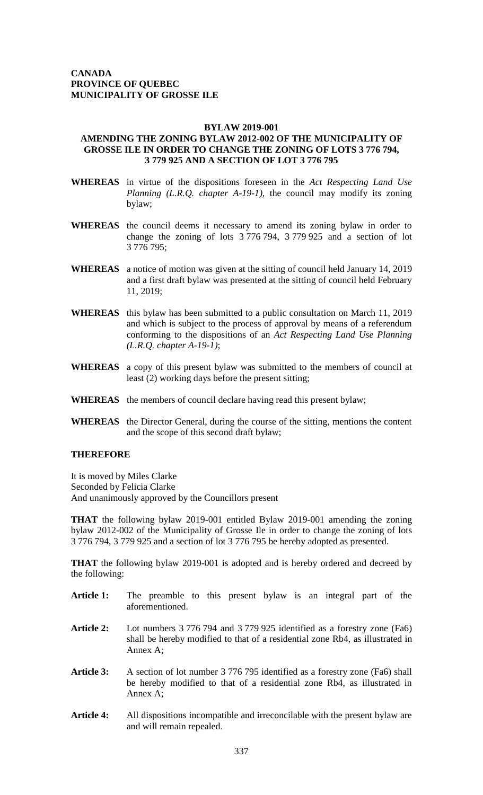## **BYLAW 2019-001**

## **AMENDING THE ZONING BYLAW 2012-002 OF THE MUNICIPALITY OF GROSSE ILE IN ORDER TO CHANGE THE ZONING OF LOTS 3 776 794, 3 779 925 AND A SECTION OF LOT 3 776 795**

- **WHEREAS** in virtue of the dispositions foreseen in the *Act Respecting Land Use Planning (L.R.Q. chapter A-19-1),* the council may modify its zoning bylaw;
- **WHEREAS** the council deems it necessary to amend its zoning bylaw in order to change the zoning of lots 3 776 794, 3 779 925 and a section of lot 3 776 795;
- **WHEREAS** a notice of motion was given at the sitting of council held January 14, 2019 and a first draft bylaw was presented at the sitting of council held February 11, 2019;
- **WHEREAS** this bylaw has been submitted to a public consultation on March 11, 2019 and which is subject to the process of approval by means of a referendum conforming to the dispositions of an *Act Respecting Land Use Planning (L.R.Q. chapter A-19-1)*;
- **WHEREAS** a copy of this present bylaw was submitted to the members of council at least (2) working days before the present sitting;
- **WHEREAS** the members of council declare having read this present bylaw;
- **WHEREAS** the Director General, during the course of the sitting, mentions the content and the scope of this second draft bylaw;

## **THEREFORE**

It is moved by Miles Clarke Seconded by Felicia Clarke And unanimously approved by the Councillors present

**THAT** the following bylaw 2019-001 entitled Bylaw 2019-001 amending the zoning bylaw 2012-002 of the Municipality of Grosse Ile in order to change the zoning of lots 3 776 794, 3 779 925 and a section of lot 3 776 795 be hereby adopted as presented.

**THAT** the following bylaw 2019-001 is adopted and is hereby ordered and decreed by the following:

- **Article 1:** The preamble to this present bylaw is an integral part of the aforementioned.
- **Article 2:** Lot numbers 3 776 794 and 3 779 925 identified as a forestry zone (Fa6) shall be hereby modified to that of a residential zone Rb4, as illustrated in Annex A;
- **Article 3:** A section of lot number 3 776 795 identified as a forestry zone (Fa6) shall be hereby modified to that of a residential zone Rb4, as illustrated in Annex A;
- **Article 4:** All dispositions incompatible and irreconcilable with the present bylaw are and will remain repealed.